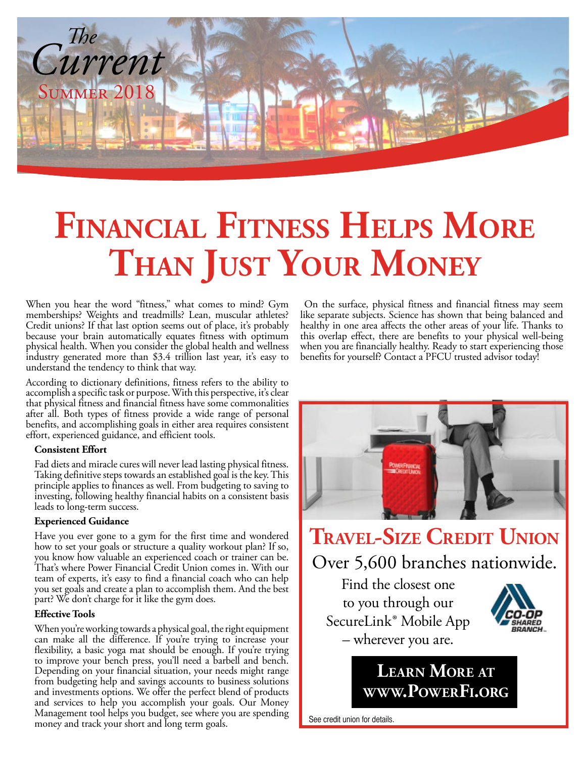

# **FINANCIAL FITNESS HELPS MORE THan JUST YoUr MoneY**

When you hear the word "fitness," what comes to mind? Gym memberships? Weights and treadmills? Lean, muscular athletes? Credit unions? If that last option seems out of place, it's probably because your brain automatically equates fitness with optimum physical health. When you consider the global health and wellness industry generated more than \$3.4 trillion last year, it's easy to understand the tendency to think that way.

According to dictionary definitions, fitness refers to the ability to accomplish a specific task or purpose. With this perspective, it's clear that physical fitness and financial fitness have some commonalities after all. Both types of fitness provide a wide range of personal benefits, and accomplishing goals in either area requires consistent effort, experienced guidance, and efficient tools.

#### **Consistent Effort**

Fad diets and miracle cures will never lead lasting physical fitness. Taking definitive steps towards an established goal is the key. This principle applies to finances as well. From budgeting to saving to investing, following healthy financial habits on a consistent basis leads to long-term success.

#### **Experienced Guidance**

Have you ever gone to a gym for the first time and wondered how to set your goals or structure a quality workout plan? If so, you know how valuable an experienced coach or trainer can be. That's where Power Financial Credit Union comes in. With our team of experts, it's easy to find a financial coach who can help you set goals and create a plan to accomplish them. And the best part? We don't charge for it like the gym does.

#### **Effective Tools**

When you're working towards a physical goal, the right equipment can make all the difference. If you're trying to increase your flexibility, a basic yoga mat should be enough. If you're trying to improve your bench press, you'll need a barbell and bench. Depending on your financial situation, your needs might range from budgeting help and savings accounts to business solutions and investments options. We offer the perfect blend of products and services to help you accomplish your goals. Our Money Management tool helps you budget, see where you are spending money and track your short and long term goals.

 On the surface, physical fitness and financial fitness may seem like separate subjects. Science has shown that being balanced and healthy in one area affects the other areas of your life. Thanks to this overlap effect, there are benefits to your physical well-being when you are financially healthy. Ready to start experiencing those benefits for yourself? Contact a PFCU trusted advisor today!



## **Travel-Size CrediT Union** Over 5,600 branches nationwide.

Find the closest one to you through our SecureLink® Mobile App – wherever you are.



### **[learn More](http://www.PowerFi.org) aT [www.PowerFi.org](http://www.PowerFi.org)**

See credit union for details.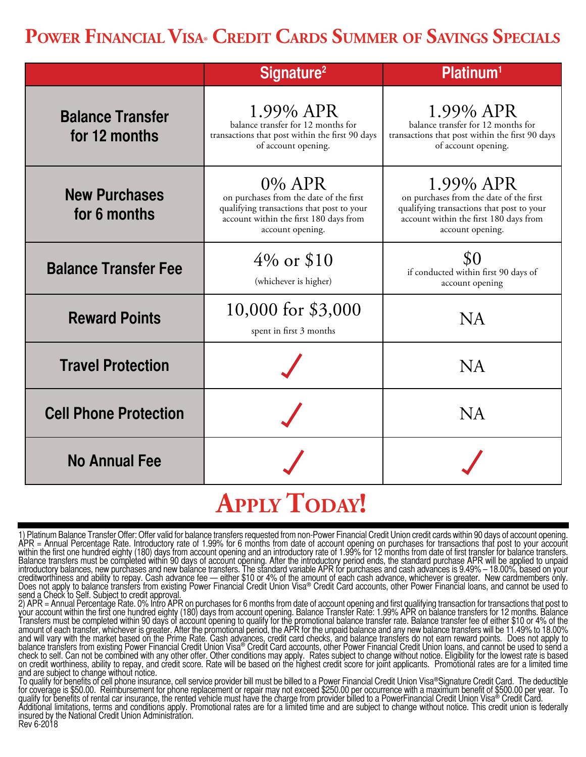## **POWER FINANCIAL VISA® CREDIT CARDS SUMMER OF SAVINGS SPECIALS**

|                                          | Signature <sup>2</sup>                                                                                                                                       | Platinum <sup>1</sup>                                                                                                                                           |
|------------------------------------------|--------------------------------------------------------------------------------------------------------------------------------------------------------------|-----------------------------------------------------------------------------------------------------------------------------------------------------------------|
| <b>Balance Transfer</b><br>for 12 months | 1.99% APR<br>balance transfer for 12 months for<br>transactions that post within the first 90 days<br>of account opening.                                    | 1.99% APR<br>balance transfer for 12 months for<br>transactions that post within the first 90 days<br>of account opening.                                       |
| <b>New Purchases</b><br>for 6 months     | 0% APR<br>on purchases from the date of the first<br>qualifying transactions that post to your<br>account within the first 180 days from<br>account opening. | 1.99% APR<br>on purchases from the date of the first<br>qualifying transactions that post to your<br>account within the first 180 days from<br>account opening. |
| <b>Balance Transfer Fee</b>              | $4\%$ or \$10<br>(whichever is higher)                                                                                                                       | \$0<br>if conducted within first 90 days of<br>account opening                                                                                                  |
| <b>Reward Points</b>                     | 10,000 for \$3,000<br>spent in first 3 months                                                                                                                | <b>NA</b>                                                                                                                                                       |
| <b>Travel Protection</b>                 |                                                                                                                                                              | <b>NA</b>                                                                                                                                                       |
| <b>Cell Phone Protection</b>             |                                                                                                                                                              | <b>NA</b>                                                                                                                                                       |
| <b>No Annual Fee</b>                     |                                                                                                                                                              |                                                                                                                                                                 |

## **APPLY TODAY!**

1) Platinum Balance Transfer Offer: Offer valid for balance transfers requested from non-Power Financial Credit Union credit cards within 90 days of account opening.<br>APR = Annual Percentage Rate. Introductory rate of 1.99% Balance transfers must be completed within 90 days of account opening. After the introductory period ends, the standard purchase APR will be applied to unpaid<br>introductory balances, new purchases and new balance transfers. send a Check to Self. Subject to credit approval.

2) APR = Annual Percentage Rate. 0% Intro APR on purchases for 6 months from date of account opening and first qualifying transaction for transactions that post to your account within the first one hundred eighty (180) days from account opening. Balance Transfer Rate: 1.99% APR on balance transfers for 12 months. Balance Transfers must be completed within 90 days of account opening to qualify for the promotional balance transfer rate. Balance transfer fee of either \$10 or 4% of the amount of each transfer, whichever is greater. After the promotional period, the APR for the unpaid balance and any new balance transfers will be 11.49% to 18.00% and will vary with the market based on the Prime Rate. Cash advances, credit card checks, and balance transfers do not earn reward points. Does not apply to balance transfers from existing Power Financial Credit Union Visa® Credit Card accounts, other Power Financial Credit Union loans, and cannot be used to send a check to self. Can not be combined with any other offer. Other conditions may apply. Rates subject to change without notice. Eligibility for the lowest rate is based<br>on credit worthiness, ability to repay, and credit score and are subject to change without notice.

To qualify for benefits of cell phone insurance, cell service provider bill must be billed to a Power Financial Credit Union Visa®Signature Credit Card. The deductible<br>for coverage is \$50.00. Reimbursement for phone replac Additional limitations, terms and conditions apply. Promotional rates are for a limited time and are subject to change without notice. This credit union is federally<br>insured by the National Credit Union Administration.

Rev 6-2018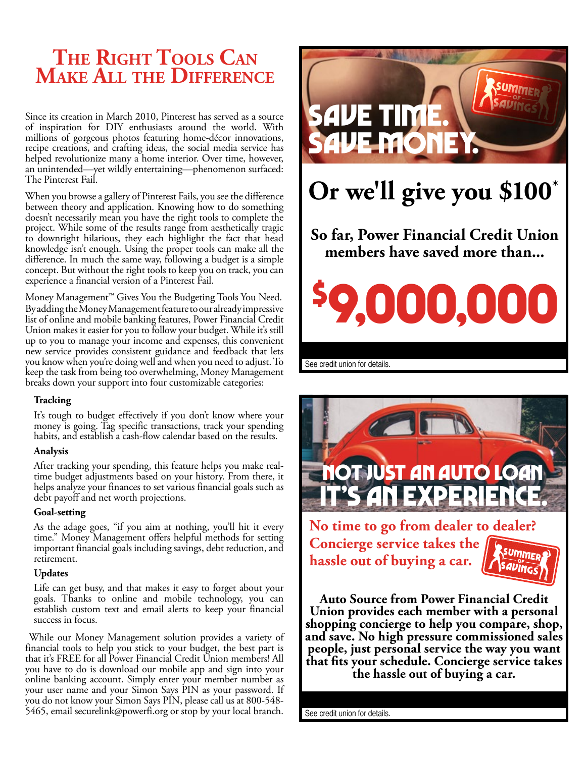### **THE RIGHT TOOLS CAN Make all THe diFFerenCe**

Since its creation in March 2010, Pinterest has served as a source of inspiration for DIY enthusiasts around the world. With millions of gorgeous photos featuring home-décor innovations, recipe creations, and crafting ideas, the social media service has helped revolutionize many a home interior. Over time, however, an unintended—yet wildly entertaining—phenomenon surfaced: The Pinterest Fail.

When you browse a gallery of Pinterest Fails, you see the difference between theory and application. Knowing how to do something doesn't necessarily mean you have the right tools to complete the project. While some of the results range from aesthetically tragic to downright hilarious, they each highlight the fact that head knowledge isn't enough. Using the proper tools can make all the difference. In much the same way, following a budget is a simple concept. But without the right tools to keep you on track, you can experience a financial version of a Pinterest Fail.

Money Management™ Gives You the Budgeting Tools You Need. By adding the Money Management feature to our already impressive list of online and mobile banking features, Power Financial Credit Union makes it easier for you to follow your budget. While it's still up to you to manage your income and expenses, this convenient new service provides consistent guidance and feedback that lets you know when you're doing well and when you need to adjust. To keep the task from being too overwhelming, Money Management breaks down your support into four customizable categories:

#### **Tracking**

It's tough to budget effectively if you don't know where your money is going. Tag specific transactions, track your spending habits, and establish a cash-flow calendar based on the results.

#### **Analysis**

After tracking your spending, this feature helps you make realtime budget adjustments based on your history. From there, it helps analyze your finances to set various financial goals such as debt payoff and net worth projections.

#### **Goal-setting**

As the adage goes, "if you aim at nothing, you'll hit it every time." Money Management offers helpful methods for setting important financial goals including savings, debt reduction, and retirement.

#### **Updates**

Life can get busy, and that makes it easy to forget about your goals. Thanks to online and mobile technology, you can establish custom text and email alerts to keep your financial success in focus.

 While our Money Management solution provides a variety of financial tools to help you stick to your budget, the best part is that it's FREE for all Power Financial Credit Union members! All you have to do is download our mobile app and sign into your online banking account. Simply enter your member number as your user name and your Simon Says PIN as your password. If you do not know your Simon Says PIN, please call us at 800-548- 5465, email securelink@powerfi.org or stop by your local branch.





**No time to go from dealer to dealer? Concierge service takes the hassle out of buying a car.** 



**Auto Source from Power Financial Credit Union provides each member with a personal shopping concierge to help you compare, shop, and save. No high pressure commissioned sales people, just personal service the way you want [that fits your schedule. Concierge service takes the hassle out of buying a car.](https://www.powerfi.org/personal-accounts/personal-loans/auto-loans/)**